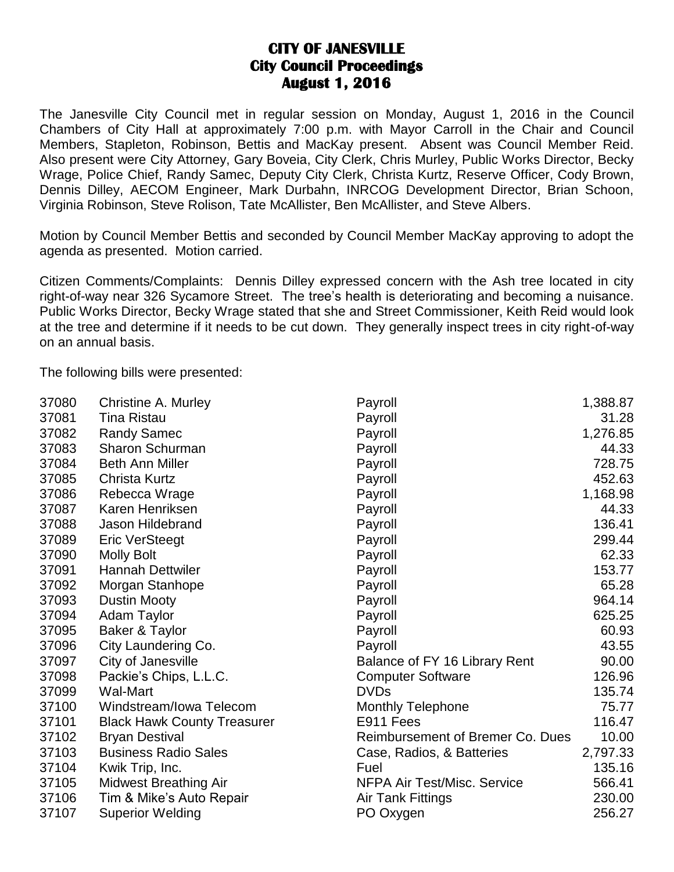## **CITY OF JANESVILLE City Council Proceedings August 1, 2016**

The Janesville City Council met in regular session on Monday, August 1, 2016 in the Council Chambers of City Hall at approximately 7:00 p.m. with Mayor Carroll in the Chair and Council Members, Stapleton, Robinson, Bettis and MacKay present. Absent was Council Member Reid. Also present were City Attorney, Gary Boveia, City Clerk, Chris Murley, Public Works Director, Becky Wrage, Police Chief, Randy Samec, Deputy City Clerk, Christa Kurtz, Reserve Officer, Cody Brown, Dennis Dilley, AECOM Engineer, Mark Durbahn, INRCOG Development Director, Brian Schoon, Virginia Robinson, Steve Rolison, Tate McAllister, Ben McAllister, and Steve Albers.

Motion by Council Member Bettis and seconded by Council Member MacKay approving to adopt the agenda as presented. Motion carried.

Citizen Comments/Complaints: Dennis Dilley expressed concern with the Ash tree located in city right-of-way near 326 Sycamore Street. The tree's health is deteriorating and becoming a nuisance. Public Works Director, Becky Wrage stated that she and Street Commissioner, Keith Reid would look at the tree and determine if it needs to be cut down. They generally inspect trees in city right-of-way on an annual basis.

The following bills were presented:

| 37080 | Christine A. Murley                | Payroll                                 | 1,388.87 |
|-------|------------------------------------|-----------------------------------------|----------|
| 37081 | <b>Tina Ristau</b>                 | Payroll                                 | 31.28    |
| 37082 | <b>Randy Samec</b>                 | Payroll                                 | 1,276.85 |
| 37083 | <b>Sharon Schurman</b>             | Payroll                                 | 44.33    |
| 37084 | Beth Ann Miller                    | Payroll                                 | 728.75   |
| 37085 | <b>Christa Kurtz</b>               | Payroll                                 | 452.63   |
| 37086 | Rebecca Wrage                      | Payroll                                 | 1,168.98 |
| 37087 | Karen Henriksen                    | Payroll                                 | 44.33    |
| 37088 | Jason Hildebrand                   | Payroll                                 | 136.41   |
| 37089 | <b>Eric VerSteegt</b>              | Payroll                                 | 299.44   |
| 37090 | <b>Molly Bolt</b>                  | Payroll                                 | 62.33    |
| 37091 | <b>Hannah Dettwiler</b>            | Payroll                                 | 153.77   |
| 37092 | Morgan Stanhope                    | Payroll                                 | 65.28    |
| 37093 | <b>Dustin Mooty</b>                | Payroll                                 | 964.14   |
| 37094 | <b>Adam Taylor</b>                 | Payroll                                 | 625.25   |
| 37095 | Baker & Taylor                     | Payroll                                 | 60.93    |
| 37096 | City Laundering Co.                | Payroll                                 | 43.55    |
| 37097 | City of Janesville                 | Balance of FY 16 Library Rent           | 90.00    |
| 37098 | Packie's Chips, L.L.C.             | <b>Computer Software</b>                | 126.96   |
| 37099 | <b>Wal-Mart</b>                    | <b>DVDs</b>                             | 135.74   |
| 37100 | Windstream/Iowa Telecom            | <b>Monthly Telephone</b>                | 75.77    |
| 37101 | <b>Black Hawk County Treasurer</b> | E911 Fees                               | 116.47   |
| 37102 | <b>Bryan Destival</b>              | <b>Reimbursement of Bremer Co. Dues</b> | 10.00    |
| 37103 | <b>Business Radio Sales</b>        | Case, Radios, & Batteries               | 2,797.33 |
| 37104 | Kwik Trip, Inc.                    | Fuel                                    | 135.16   |
| 37105 | <b>Midwest Breathing Air</b>       | NFPA Air Test/Misc. Service             | 566.41   |
| 37106 | Tim & Mike's Auto Repair           | <b>Air Tank Fittings</b>                | 230.00   |
| 37107 | <b>Superior Welding</b>            | PO Oxygen                               | 256.27   |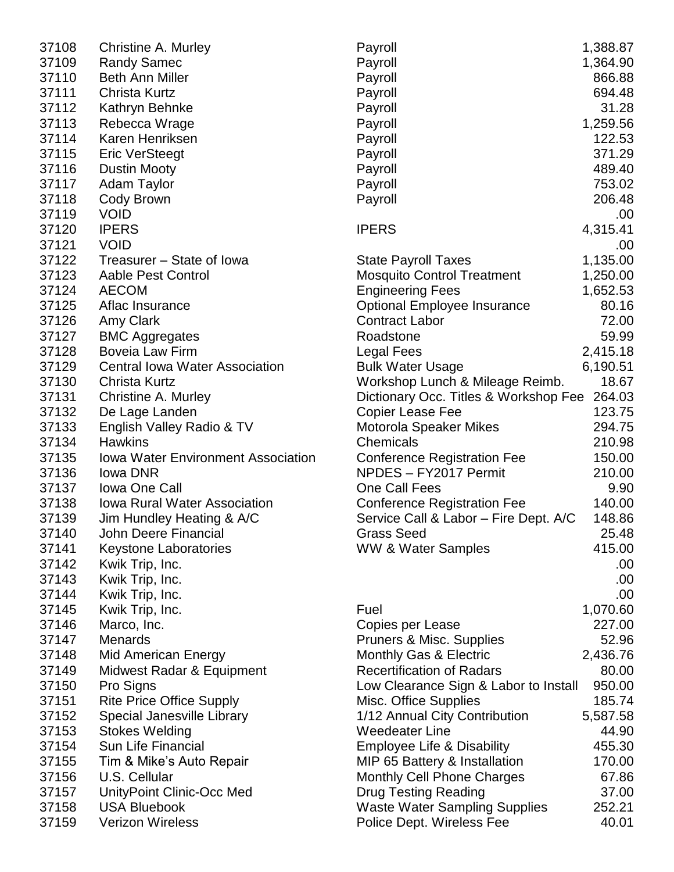| 37109<br><b>Randy Samec</b><br>1,364.90<br>Payroll<br><b>Beth Ann Miller</b><br>37110<br>Payroll<br>866.88<br>37111<br>Payroll<br>694.48<br>Christa Kurtz<br>37112<br>Kathryn Behnke<br>Payroll<br>31.28<br>37113<br>Rebecca Wrage<br>1,259.56<br>Payroll<br>37114<br>Karen Henriksen<br>122.53<br>Payroll<br>37115<br>371.29<br><b>Eric VerSteegt</b><br>Payroll<br>489.40<br>37116<br><b>Dustin Mooty</b><br>Payroll<br>37117<br>Adam Taylor<br>Payroll<br>753.02<br>206.48<br>37118<br>Cody Brown<br>Payroll<br>37119<br><b>VOID</b><br>.00<br>4,315.41<br>37120<br><b>IPERS</b><br><b>IPERS</b><br><b>VOID</b><br>37121<br>.00<br>37122<br>1,135.00<br>Treasurer – State of Iowa<br><b>State Payroll Taxes</b><br>37123<br><b>Mosquito Control Treatment</b><br>Aable Pest Control<br>1,250.00<br>37124<br><b>AECOM</b><br><b>Engineering Fees</b><br>1,652.53<br>37125<br>80.16<br>Aflac Insurance<br><b>Optional Employee Insurance</b><br>72.00<br>37126<br>Amy Clark<br><b>Contract Labor</b><br>37127<br>59.99<br><b>BMC Aggregates</b><br>Roadstone<br>37128<br><b>Boveia Law Firm</b><br>2,415.18<br>Legal Fees<br>37129<br><b>Central Iowa Water Association</b><br><b>Bulk Water Usage</b><br>6,190.51<br>37130<br>Christa Kurtz<br>Workshop Lunch & Mileage Reimb.<br>18.67<br>37131<br>Dictionary Occ. Titles & Workshop Fee 264.03<br>Christine A. Murley<br>123.75<br>37132<br>De Lage Landen<br><b>Copier Lease Fee</b><br>37133<br>294.75<br>English Valley Radio & TV<br>Motorola Speaker Mikes<br>37134<br><b>Hawkins</b><br>Chemicals<br>210.98<br>37135<br><b>Iowa Water Environment Association</b><br><b>Conference Registration Fee</b><br>150.00<br>NPDES - FY2017 Permit<br>37136<br>Iowa DNR<br>210.00<br>37137<br>One Call Fees<br><b>Iowa One Call</b><br>9.90<br>140.00<br>37138<br><b>Iowa Rural Water Association</b><br><b>Conference Registration Fee</b><br>148.86<br>37139<br>Jim Hundley Heating & A/C<br>Service Call & Labor - Fire Dept. A/C<br><b>Grass Seed</b><br>25.48<br>37140<br>John Deere Financial<br><b>WW &amp; Water Samples</b><br>415.00<br>37141<br><b>Keystone Laboratories</b><br>37142<br>Kwik Trip, Inc.<br>.00<br>37143<br>Kwik Trip, Inc.<br>.00.<br>37144<br>Kwik Trip, Inc.<br>.00.<br>1,070.60<br>37145<br>Kwik Trip, Inc.<br>Fuel<br>Copies per Lease<br>227.00<br>37146<br>Marco, Inc.<br><b>Menards</b><br>Pruners & Misc. Supplies<br>52.96<br>37147<br>37148<br><b>Mid American Energy</b><br>Monthly Gas & Electric<br>2,436.76<br><b>Recertification of Radars</b><br>80.00<br>37149<br>Midwest Radar & Equipment<br>37150<br>Pro Signs<br>Low Clearance Sign & Labor to Install<br>950.00<br><b>Rite Price Office Supply</b><br>37151<br>Misc. Office Supplies<br>185.74<br>Special Janesville Library<br>1/12 Annual City Contribution<br>37152<br>5,587.58<br>37153<br><b>Stokes Welding</b><br><b>Weedeater Line</b><br>44.90<br>37154<br>Sun Life Financial<br><b>Employee Life &amp; Disability</b><br>455.30<br>37155<br>Tim & Mike's Auto Repair<br>MIP 65 Battery & Installation<br>170.00<br>37156<br>U.S. Cellular<br><b>Monthly Cell Phone Charges</b><br>67.86<br><b>Drug Testing Reading</b><br>37.00<br>37157<br>UnityPoint Clinic-Occ Med<br><b>USA Bluebook</b><br><b>Waste Water Sampling Supplies</b><br>37158<br>252.21<br><b>Verizon Wireless</b><br>37159<br>Police Dept. Wireless Fee<br>40.01 | 37108 | Christine A. Murley | Payroll | 1,388.87 |
|------------------------------------------------------------------------------------------------------------------------------------------------------------------------------------------------------------------------------------------------------------------------------------------------------------------------------------------------------------------------------------------------------------------------------------------------------------------------------------------------------------------------------------------------------------------------------------------------------------------------------------------------------------------------------------------------------------------------------------------------------------------------------------------------------------------------------------------------------------------------------------------------------------------------------------------------------------------------------------------------------------------------------------------------------------------------------------------------------------------------------------------------------------------------------------------------------------------------------------------------------------------------------------------------------------------------------------------------------------------------------------------------------------------------------------------------------------------------------------------------------------------------------------------------------------------------------------------------------------------------------------------------------------------------------------------------------------------------------------------------------------------------------------------------------------------------------------------------------------------------------------------------------------------------------------------------------------------------------------------------------------------------------------------------------------------------------------------------------------------------------------------------------------------------------------------------------------------------------------------------------------------------------------------------------------------------------------------------------------------------------------------------------------------------------------------------------------------------------------------------------------------------------------------------------------------------------------------------------------------------------------------------------------------------------------------------------------------------------------------------------------------------------------------------------------------------------------------------------------------------------------------------------------------------------------------------------------------------------------------------------------------------------------------------------------------------------------------------------------------------------------------------------------------------------------------------------------------------------------------------------------------------------------------------------------------------------------------------------------------------------------------------|-------|---------------------|---------|----------|
|                                                                                                                                                                                                                                                                                                                                                                                                                                                                                                                                                                                                                                                                                                                                                                                                                                                                                                                                                                                                                                                                                                                                                                                                                                                                                                                                                                                                                                                                                                                                                                                                                                                                                                                                                                                                                                                                                                                                                                                                                                                                                                                                                                                                                                                                                                                                                                                                                                                                                                                                                                                                                                                                                                                                                                                                                                                                                                                                                                                                                                                                                                                                                                                                                                                                                                                                                                                                |       |                     |         |          |
|                                                                                                                                                                                                                                                                                                                                                                                                                                                                                                                                                                                                                                                                                                                                                                                                                                                                                                                                                                                                                                                                                                                                                                                                                                                                                                                                                                                                                                                                                                                                                                                                                                                                                                                                                                                                                                                                                                                                                                                                                                                                                                                                                                                                                                                                                                                                                                                                                                                                                                                                                                                                                                                                                                                                                                                                                                                                                                                                                                                                                                                                                                                                                                                                                                                                                                                                                                                                |       |                     |         |          |
|                                                                                                                                                                                                                                                                                                                                                                                                                                                                                                                                                                                                                                                                                                                                                                                                                                                                                                                                                                                                                                                                                                                                                                                                                                                                                                                                                                                                                                                                                                                                                                                                                                                                                                                                                                                                                                                                                                                                                                                                                                                                                                                                                                                                                                                                                                                                                                                                                                                                                                                                                                                                                                                                                                                                                                                                                                                                                                                                                                                                                                                                                                                                                                                                                                                                                                                                                                                                |       |                     |         |          |
|                                                                                                                                                                                                                                                                                                                                                                                                                                                                                                                                                                                                                                                                                                                                                                                                                                                                                                                                                                                                                                                                                                                                                                                                                                                                                                                                                                                                                                                                                                                                                                                                                                                                                                                                                                                                                                                                                                                                                                                                                                                                                                                                                                                                                                                                                                                                                                                                                                                                                                                                                                                                                                                                                                                                                                                                                                                                                                                                                                                                                                                                                                                                                                                                                                                                                                                                                                                                |       |                     |         |          |
|                                                                                                                                                                                                                                                                                                                                                                                                                                                                                                                                                                                                                                                                                                                                                                                                                                                                                                                                                                                                                                                                                                                                                                                                                                                                                                                                                                                                                                                                                                                                                                                                                                                                                                                                                                                                                                                                                                                                                                                                                                                                                                                                                                                                                                                                                                                                                                                                                                                                                                                                                                                                                                                                                                                                                                                                                                                                                                                                                                                                                                                                                                                                                                                                                                                                                                                                                                                                |       |                     |         |          |
|                                                                                                                                                                                                                                                                                                                                                                                                                                                                                                                                                                                                                                                                                                                                                                                                                                                                                                                                                                                                                                                                                                                                                                                                                                                                                                                                                                                                                                                                                                                                                                                                                                                                                                                                                                                                                                                                                                                                                                                                                                                                                                                                                                                                                                                                                                                                                                                                                                                                                                                                                                                                                                                                                                                                                                                                                                                                                                                                                                                                                                                                                                                                                                                                                                                                                                                                                                                                |       |                     |         |          |
|                                                                                                                                                                                                                                                                                                                                                                                                                                                                                                                                                                                                                                                                                                                                                                                                                                                                                                                                                                                                                                                                                                                                                                                                                                                                                                                                                                                                                                                                                                                                                                                                                                                                                                                                                                                                                                                                                                                                                                                                                                                                                                                                                                                                                                                                                                                                                                                                                                                                                                                                                                                                                                                                                                                                                                                                                                                                                                                                                                                                                                                                                                                                                                                                                                                                                                                                                                                                |       |                     |         |          |
|                                                                                                                                                                                                                                                                                                                                                                                                                                                                                                                                                                                                                                                                                                                                                                                                                                                                                                                                                                                                                                                                                                                                                                                                                                                                                                                                                                                                                                                                                                                                                                                                                                                                                                                                                                                                                                                                                                                                                                                                                                                                                                                                                                                                                                                                                                                                                                                                                                                                                                                                                                                                                                                                                                                                                                                                                                                                                                                                                                                                                                                                                                                                                                                                                                                                                                                                                                                                |       |                     |         |          |
|                                                                                                                                                                                                                                                                                                                                                                                                                                                                                                                                                                                                                                                                                                                                                                                                                                                                                                                                                                                                                                                                                                                                                                                                                                                                                                                                                                                                                                                                                                                                                                                                                                                                                                                                                                                                                                                                                                                                                                                                                                                                                                                                                                                                                                                                                                                                                                                                                                                                                                                                                                                                                                                                                                                                                                                                                                                                                                                                                                                                                                                                                                                                                                                                                                                                                                                                                                                                |       |                     |         |          |
|                                                                                                                                                                                                                                                                                                                                                                                                                                                                                                                                                                                                                                                                                                                                                                                                                                                                                                                                                                                                                                                                                                                                                                                                                                                                                                                                                                                                                                                                                                                                                                                                                                                                                                                                                                                                                                                                                                                                                                                                                                                                                                                                                                                                                                                                                                                                                                                                                                                                                                                                                                                                                                                                                                                                                                                                                                                                                                                                                                                                                                                                                                                                                                                                                                                                                                                                                                                                |       |                     |         |          |
|                                                                                                                                                                                                                                                                                                                                                                                                                                                                                                                                                                                                                                                                                                                                                                                                                                                                                                                                                                                                                                                                                                                                                                                                                                                                                                                                                                                                                                                                                                                                                                                                                                                                                                                                                                                                                                                                                                                                                                                                                                                                                                                                                                                                                                                                                                                                                                                                                                                                                                                                                                                                                                                                                                                                                                                                                                                                                                                                                                                                                                                                                                                                                                                                                                                                                                                                                                                                |       |                     |         |          |
|                                                                                                                                                                                                                                                                                                                                                                                                                                                                                                                                                                                                                                                                                                                                                                                                                                                                                                                                                                                                                                                                                                                                                                                                                                                                                                                                                                                                                                                                                                                                                                                                                                                                                                                                                                                                                                                                                                                                                                                                                                                                                                                                                                                                                                                                                                                                                                                                                                                                                                                                                                                                                                                                                                                                                                                                                                                                                                                                                                                                                                                                                                                                                                                                                                                                                                                                                                                                |       |                     |         |          |
|                                                                                                                                                                                                                                                                                                                                                                                                                                                                                                                                                                                                                                                                                                                                                                                                                                                                                                                                                                                                                                                                                                                                                                                                                                                                                                                                                                                                                                                                                                                                                                                                                                                                                                                                                                                                                                                                                                                                                                                                                                                                                                                                                                                                                                                                                                                                                                                                                                                                                                                                                                                                                                                                                                                                                                                                                                                                                                                                                                                                                                                                                                                                                                                                                                                                                                                                                                                                |       |                     |         |          |
|                                                                                                                                                                                                                                                                                                                                                                                                                                                                                                                                                                                                                                                                                                                                                                                                                                                                                                                                                                                                                                                                                                                                                                                                                                                                                                                                                                                                                                                                                                                                                                                                                                                                                                                                                                                                                                                                                                                                                                                                                                                                                                                                                                                                                                                                                                                                                                                                                                                                                                                                                                                                                                                                                                                                                                                                                                                                                                                                                                                                                                                                                                                                                                                                                                                                                                                                                                                                |       |                     |         |          |
|                                                                                                                                                                                                                                                                                                                                                                                                                                                                                                                                                                                                                                                                                                                                                                                                                                                                                                                                                                                                                                                                                                                                                                                                                                                                                                                                                                                                                                                                                                                                                                                                                                                                                                                                                                                                                                                                                                                                                                                                                                                                                                                                                                                                                                                                                                                                                                                                                                                                                                                                                                                                                                                                                                                                                                                                                                                                                                                                                                                                                                                                                                                                                                                                                                                                                                                                                                                                |       |                     |         |          |
|                                                                                                                                                                                                                                                                                                                                                                                                                                                                                                                                                                                                                                                                                                                                                                                                                                                                                                                                                                                                                                                                                                                                                                                                                                                                                                                                                                                                                                                                                                                                                                                                                                                                                                                                                                                                                                                                                                                                                                                                                                                                                                                                                                                                                                                                                                                                                                                                                                                                                                                                                                                                                                                                                                                                                                                                                                                                                                                                                                                                                                                                                                                                                                                                                                                                                                                                                                                                |       |                     |         |          |
|                                                                                                                                                                                                                                                                                                                                                                                                                                                                                                                                                                                                                                                                                                                                                                                                                                                                                                                                                                                                                                                                                                                                                                                                                                                                                                                                                                                                                                                                                                                                                                                                                                                                                                                                                                                                                                                                                                                                                                                                                                                                                                                                                                                                                                                                                                                                                                                                                                                                                                                                                                                                                                                                                                                                                                                                                                                                                                                                                                                                                                                                                                                                                                                                                                                                                                                                                                                                |       |                     |         |          |
|                                                                                                                                                                                                                                                                                                                                                                                                                                                                                                                                                                                                                                                                                                                                                                                                                                                                                                                                                                                                                                                                                                                                                                                                                                                                                                                                                                                                                                                                                                                                                                                                                                                                                                                                                                                                                                                                                                                                                                                                                                                                                                                                                                                                                                                                                                                                                                                                                                                                                                                                                                                                                                                                                                                                                                                                                                                                                                                                                                                                                                                                                                                                                                                                                                                                                                                                                                                                |       |                     |         |          |
|                                                                                                                                                                                                                                                                                                                                                                                                                                                                                                                                                                                                                                                                                                                                                                                                                                                                                                                                                                                                                                                                                                                                                                                                                                                                                                                                                                                                                                                                                                                                                                                                                                                                                                                                                                                                                                                                                                                                                                                                                                                                                                                                                                                                                                                                                                                                                                                                                                                                                                                                                                                                                                                                                                                                                                                                                                                                                                                                                                                                                                                                                                                                                                                                                                                                                                                                                                                                |       |                     |         |          |
|                                                                                                                                                                                                                                                                                                                                                                                                                                                                                                                                                                                                                                                                                                                                                                                                                                                                                                                                                                                                                                                                                                                                                                                                                                                                                                                                                                                                                                                                                                                                                                                                                                                                                                                                                                                                                                                                                                                                                                                                                                                                                                                                                                                                                                                                                                                                                                                                                                                                                                                                                                                                                                                                                                                                                                                                                                                                                                                                                                                                                                                                                                                                                                                                                                                                                                                                                                                                |       |                     |         |          |
|                                                                                                                                                                                                                                                                                                                                                                                                                                                                                                                                                                                                                                                                                                                                                                                                                                                                                                                                                                                                                                                                                                                                                                                                                                                                                                                                                                                                                                                                                                                                                                                                                                                                                                                                                                                                                                                                                                                                                                                                                                                                                                                                                                                                                                                                                                                                                                                                                                                                                                                                                                                                                                                                                                                                                                                                                                                                                                                                                                                                                                                                                                                                                                                                                                                                                                                                                                                                |       |                     |         |          |
|                                                                                                                                                                                                                                                                                                                                                                                                                                                                                                                                                                                                                                                                                                                                                                                                                                                                                                                                                                                                                                                                                                                                                                                                                                                                                                                                                                                                                                                                                                                                                                                                                                                                                                                                                                                                                                                                                                                                                                                                                                                                                                                                                                                                                                                                                                                                                                                                                                                                                                                                                                                                                                                                                                                                                                                                                                                                                                                                                                                                                                                                                                                                                                                                                                                                                                                                                                                                |       |                     |         |          |
|                                                                                                                                                                                                                                                                                                                                                                                                                                                                                                                                                                                                                                                                                                                                                                                                                                                                                                                                                                                                                                                                                                                                                                                                                                                                                                                                                                                                                                                                                                                                                                                                                                                                                                                                                                                                                                                                                                                                                                                                                                                                                                                                                                                                                                                                                                                                                                                                                                                                                                                                                                                                                                                                                                                                                                                                                                                                                                                                                                                                                                                                                                                                                                                                                                                                                                                                                                                                |       |                     |         |          |
|                                                                                                                                                                                                                                                                                                                                                                                                                                                                                                                                                                                                                                                                                                                                                                                                                                                                                                                                                                                                                                                                                                                                                                                                                                                                                                                                                                                                                                                                                                                                                                                                                                                                                                                                                                                                                                                                                                                                                                                                                                                                                                                                                                                                                                                                                                                                                                                                                                                                                                                                                                                                                                                                                                                                                                                                                                                                                                                                                                                                                                                                                                                                                                                                                                                                                                                                                                                                |       |                     |         |          |
|                                                                                                                                                                                                                                                                                                                                                                                                                                                                                                                                                                                                                                                                                                                                                                                                                                                                                                                                                                                                                                                                                                                                                                                                                                                                                                                                                                                                                                                                                                                                                                                                                                                                                                                                                                                                                                                                                                                                                                                                                                                                                                                                                                                                                                                                                                                                                                                                                                                                                                                                                                                                                                                                                                                                                                                                                                                                                                                                                                                                                                                                                                                                                                                                                                                                                                                                                                                                |       |                     |         |          |
|                                                                                                                                                                                                                                                                                                                                                                                                                                                                                                                                                                                                                                                                                                                                                                                                                                                                                                                                                                                                                                                                                                                                                                                                                                                                                                                                                                                                                                                                                                                                                                                                                                                                                                                                                                                                                                                                                                                                                                                                                                                                                                                                                                                                                                                                                                                                                                                                                                                                                                                                                                                                                                                                                                                                                                                                                                                                                                                                                                                                                                                                                                                                                                                                                                                                                                                                                                                                |       |                     |         |          |
|                                                                                                                                                                                                                                                                                                                                                                                                                                                                                                                                                                                                                                                                                                                                                                                                                                                                                                                                                                                                                                                                                                                                                                                                                                                                                                                                                                                                                                                                                                                                                                                                                                                                                                                                                                                                                                                                                                                                                                                                                                                                                                                                                                                                                                                                                                                                                                                                                                                                                                                                                                                                                                                                                                                                                                                                                                                                                                                                                                                                                                                                                                                                                                                                                                                                                                                                                                                                |       |                     |         |          |
|                                                                                                                                                                                                                                                                                                                                                                                                                                                                                                                                                                                                                                                                                                                                                                                                                                                                                                                                                                                                                                                                                                                                                                                                                                                                                                                                                                                                                                                                                                                                                                                                                                                                                                                                                                                                                                                                                                                                                                                                                                                                                                                                                                                                                                                                                                                                                                                                                                                                                                                                                                                                                                                                                                                                                                                                                                                                                                                                                                                                                                                                                                                                                                                                                                                                                                                                                                                                |       |                     |         |          |
|                                                                                                                                                                                                                                                                                                                                                                                                                                                                                                                                                                                                                                                                                                                                                                                                                                                                                                                                                                                                                                                                                                                                                                                                                                                                                                                                                                                                                                                                                                                                                                                                                                                                                                                                                                                                                                                                                                                                                                                                                                                                                                                                                                                                                                                                                                                                                                                                                                                                                                                                                                                                                                                                                                                                                                                                                                                                                                                                                                                                                                                                                                                                                                                                                                                                                                                                                                                                |       |                     |         |          |
|                                                                                                                                                                                                                                                                                                                                                                                                                                                                                                                                                                                                                                                                                                                                                                                                                                                                                                                                                                                                                                                                                                                                                                                                                                                                                                                                                                                                                                                                                                                                                                                                                                                                                                                                                                                                                                                                                                                                                                                                                                                                                                                                                                                                                                                                                                                                                                                                                                                                                                                                                                                                                                                                                                                                                                                                                                                                                                                                                                                                                                                                                                                                                                                                                                                                                                                                                                                                |       |                     |         |          |
|                                                                                                                                                                                                                                                                                                                                                                                                                                                                                                                                                                                                                                                                                                                                                                                                                                                                                                                                                                                                                                                                                                                                                                                                                                                                                                                                                                                                                                                                                                                                                                                                                                                                                                                                                                                                                                                                                                                                                                                                                                                                                                                                                                                                                                                                                                                                                                                                                                                                                                                                                                                                                                                                                                                                                                                                                                                                                                                                                                                                                                                                                                                                                                                                                                                                                                                                                                                                |       |                     |         |          |
|                                                                                                                                                                                                                                                                                                                                                                                                                                                                                                                                                                                                                                                                                                                                                                                                                                                                                                                                                                                                                                                                                                                                                                                                                                                                                                                                                                                                                                                                                                                                                                                                                                                                                                                                                                                                                                                                                                                                                                                                                                                                                                                                                                                                                                                                                                                                                                                                                                                                                                                                                                                                                                                                                                                                                                                                                                                                                                                                                                                                                                                                                                                                                                                                                                                                                                                                                                                                |       |                     |         |          |
|                                                                                                                                                                                                                                                                                                                                                                                                                                                                                                                                                                                                                                                                                                                                                                                                                                                                                                                                                                                                                                                                                                                                                                                                                                                                                                                                                                                                                                                                                                                                                                                                                                                                                                                                                                                                                                                                                                                                                                                                                                                                                                                                                                                                                                                                                                                                                                                                                                                                                                                                                                                                                                                                                                                                                                                                                                                                                                                                                                                                                                                                                                                                                                                                                                                                                                                                                                                                |       |                     |         |          |
|                                                                                                                                                                                                                                                                                                                                                                                                                                                                                                                                                                                                                                                                                                                                                                                                                                                                                                                                                                                                                                                                                                                                                                                                                                                                                                                                                                                                                                                                                                                                                                                                                                                                                                                                                                                                                                                                                                                                                                                                                                                                                                                                                                                                                                                                                                                                                                                                                                                                                                                                                                                                                                                                                                                                                                                                                                                                                                                                                                                                                                                                                                                                                                                                                                                                                                                                                                                                |       |                     |         |          |
|                                                                                                                                                                                                                                                                                                                                                                                                                                                                                                                                                                                                                                                                                                                                                                                                                                                                                                                                                                                                                                                                                                                                                                                                                                                                                                                                                                                                                                                                                                                                                                                                                                                                                                                                                                                                                                                                                                                                                                                                                                                                                                                                                                                                                                                                                                                                                                                                                                                                                                                                                                                                                                                                                                                                                                                                                                                                                                                                                                                                                                                                                                                                                                                                                                                                                                                                                                                                |       |                     |         |          |
|                                                                                                                                                                                                                                                                                                                                                                                                                                                                                                                                                                                                                                                                                                                                                                                                                                                                                                                                                                                                                                                                                                                                                                                                                                                                                                                                                                                                                                                                                                                                                                                                                                                                                                                                                                                                                                                                                                                                                                                                                                                                                                                                                                                                                                                                                                                                                                                                                                                                                                                                                                                                                                                                                                                                                                                                                                                                                                                                                                                                                                                                                                                                                                                                                                                                                                                                                                                                |       |                     |         |          |
|                                                                                                                                                                                                                                                                                                                                                                                                                                                                                                                                                                                                                                                                                                                                                                                                                                                                                                                                                                                                                                                                                                                                                                                                                                                                                                                                                                                                                                                                                                                                                                                                                                                                                                                                                                                                                                                                                                                                                                                                                                                                                                                                                                                                                                                                                                                                                                                                                                                                                                                                                                                                                                                                                                                                                                                                                                                                                                                                                                                                                                                                                                                                                                                                                                                                                                                                                                                                |       |                     |         |          |
|                                                                                                                                                                                                                                                                                                                                                                                                                                                                                                                                                                                                                                                                                                                                                                                                                                                                                                                                                                                                                                                                                                                                                                                                                                                                                                                                                                                                                                                                                                                                                                                                                                                                                                                                                                                                                                                                                                                                                                                                                                                                                                                                                                                                                                                                                                                                                                                                                                                                                                                                                                                                                                                                                                                                                                                                                                                                                                                                                                                                                                                                                                                                                                                                                                                                                                                                                                                                |       |                     |         |          |
|                                                                                                                                                                                                                                                                                                                                                                                                                                                                                                                                                                                                                                                                                                                                                                                                                                                                                                                                                                                                                                                                                                                                                                                                                                                                                                                                                                                                                                                                                                                                                                                                                                                                                                                                                                                                                                                                                                                                                                                                                                                                                                                                                                                                                                                                                                                                                                                                                                                                                                                                                                                                                                                                                                                                                                                                                                                                                                                                                                                                                                                                                                                                                                                                                                                                                                                                                                                                |       |                     |         |          |
|                                                                                                                                                                                                                                                                                                                                                                                                                                                                                                                                                                                                                                                                                                                                                                                                                                                                                                                                                                                                                                                                                                                                                                                                                                                                                                                                                                                                                                                                                                                                                                                                                                                                                                                                                                                                                                                                                                                                                                                                                                                                                                                                                                                                                                                                                                                                                                                                                                                                                                                                                                                                                                                                                                                                                                                                                                                                                                                                                                                                                                                                                                                                                                                                                                                                                                                                                                                                |       |                     |         |          |
|                                                                                                                                                                                                                                                                                                                                                                                                                                                                                                                                                                                                                                                                                                                                                                                                                                                                                                                                                                                                                                                                                                                                                                                                                                                                                                                                                                                                                                                                                                                                                                                                                                                                                                                                                                                                                                                                                                                                                                                                                                                                                                                                                                                                                                                                                                                                                                                                                                                                                                                                                                                                                                                                                                                                                                                                                                                                                                                                                                                                                                                                                                                                                                                                                                                                                                                                                                                                |       |                     |         |          |
|                                                                                                                                                                                                                                                                                                                                                                                                                                                                                                                                                                                                                                                                                                                                                                                                                                                                                                                                                                                                                                                                                                                                                                                                                                                                                                                                                                                                                                                                                                                                                                                                                                                                                                                                                                                                                                                                                                                                                                                                                                                                                                                                                                                                                                                                                                                                                                                                                                                                                                                                                                                                                                                                                                                                                                                                                                                                                                                                                                                                                                                                                                                                                                                                                                                                                                                                                                                                |       |                     |         |          |
|                                                                                                                                                                                                                                                                                                                                                                                                                                                                                                                                                                                                                                                                                                                                                                                                                                                                                                                                                                                                                                                                                                                                                                                                                                                                                                                                                                                                                                                                                                                                                                                                                                                                                                                                                                                                                                                                                                                                                                                                                                                                                                                                                                                                                                                                                                                                                                                                                                                                                                                                                                                                                                                                                                                                                                                                                                                                                                                                                                                                                                                                                                                                                                                                                                                                                                                                                                                                |       |                     |         |          |
|                                                                                                                                                                                                                                                                                                                                                                                                                                                                                                                                                                                                                                                                                                                                                                                                                                                                                                                                                                                                                                                                                                                                                                                                                                                                                                                                                                                                                                                                                                                                                                                                                                                                                                                                                                                                                                                                                                                                                                                                                                                                                                                                                                                                                                                                                                                                                                                                                                                                                                                                                                                                                                                                                                                                                                                                                                                                                                                                                                                                                                                                                                                                                                                                                                                                                                                                                                                                |       |                     |         |          |
|                                                                                                                                                                                                                                                                                                                                                                                                                                                                                                                                                                                                                                                                                                                                                                                                                                                                                                                                                                                                                                                                                                                                                                                                                                                                                                                                                                                                                                                                                                                                                                                                                                                                                                                                                                                                                                                                                                                                                                                                                                                                                                                                                                                                                                                                                                                                                                                                                                                                                                                                                                                                                                                                                                                                                                                                                                                                                                                                                                                                                                                                                                                                                                                                                                                                                                                                                                                                |       |                     |         |          |
|                                                                                                                                                                                                                                                                                                                                                                                                                                                                                                                                                                                                                                                                                                                                                                                                                                                                                                                                                                                                                                                                                                                                                                                                                                                                                                                                                                                                                                                                                                                                                                                                                                                                                                                                                                                                                                                                                                                                                                                                                                                                                                                                                                                                                                                                                                                                                                                                                                                                                                                                                                                                                                                                                                                                                                                                                                                                                                                                                                                                                                                                                                                                                                                                                                                                                                                                                                                                |       |                     |         |          |
|                                                                                                                                                                                                                                                                                                                                                                                                                                                                                                                                                                                                                                                                                                                                                                                                                                                                                                                                                                                                                                                                                                                                                                                                                                                                                                                                                                                                                                                                                                                                                                                                                                                                                                                                                                                                                                                                                                                                                                                                                                                                                                                                                                                                                                                                                                                                                                                                                                                                                                                                                                                                                                                                                                                                                                                                                                                                                                                                                                                                                                                                                                                                                                                                                                                                                                                                                                                                |       |                     |         |          |
|                                                                                                                                                                                                                                                                                                                                                                                                                                                                                                                                                                                                                                                                                                                                                                                                                                                                                                                                                                                                                                                                                                                                                                                                                                                                                                                                                                                                                                                                                                                                                                                                                                                                                                                                                                                                                                                                                                                                                                                                                                                                                                                                                                                                                                                                                                                                                                                                                                                                                                                                                                                                                                                                                                                                                                                                                                                                                                                                                                                                                                                                                                                                                                                                                                                                                                                                                                                                |       |                     |         |          |
|                                                                                                                                                                                                                                                                                                                                                                                                                                                                                                                                                                                                                                                                                                                                                                                                                                                                                                                                                                                                                                                                                                                                                                                                                                                                                                                                                                                                                                                                                                                                                                                                                                                                                                                                                                                                                                                                                                                                                                                                                                                                                                                                                                                                                                                                                                                                                                                                                                                                                                                                                                                                                                                                                                                                                                                                                                                                                                                                                                                                                                                                                                                                                                                                                                                                                                                                                                                                |       |                     |         |          |
|                                                                                                                                                                                                                                                                                                                                                                                                                                                                                                                                                                                                                                                                                                                                                                                                                                                                                                                                                                                                                                                                                                                                                                                                                                                                                                                                                                                                                                                                                                                                                                                                                                                                                                                                                                                                                                                                                                                                                                                                                                                                                                                                                                                                                                                                                                                                                                                                                                                                                                                                                                                                                                                                                                                                                                                                                                                                                                                                                                                                                                                                                                                                                                                                                                                                                                                                                                                                |       |                     |         |          |
|                                                                                                                                                                                                                                                                                                                                                                                                                                                                                                                                                                                                                                                                                                                                                                                                                                                                                                                                                                                                                                                                                                                                                                                                                                                                                                                                                                                                                                                                                                                                                                                                                                                                                                                                                                                                                                                                                                                                                                                                                                                                                                                                                                                                                                                                                                                                                                                                                                                                                                                                                                                                                                                                                                                                                                                                                                                                                                                                                                                                                                                                                                                                                                                                                                                                                                                                                                                                |       |                     |         |          |
|                                                                                                                                                                                                                                                                                                                                                                                                                                                                                                                                                                                                                                                                                                                                                                                                                                                                                                                                                                                                                                                                                                                                                                                                                                                                                                                                                                                                                                                                                                                                                                                                                                                                                                                                                                                                                                                                                                                                                                                                                                                                                                                                                                                                                                                                                                                                                                                                                                                                                                                                                                                                                                                                                                                                                                                                                                                                                                                                                                                                                                                                                                                                                                                                                                                                                                                                                                                                |       |                     |         |          |
|                                                                                                                                                                                                                                                                                                                                                                                                                                                                                                                                                                                                                                                                                                                                                                                                                                                                                                                                                                                                                                                                                                                                                                                                                                                                                                                                                                                                                                                                                                                                                                                                                                                                                                                                                                                                                                                                                                                                                                                                                                                                                                                                                                                                                                                                                                                                                                                                                                                                                                                                                                                                                                                                                                                                                                                                                                                                                                                                                                                                                                                                                                                                                                                                                                                                                                                                                                                                |       |                     |         |          |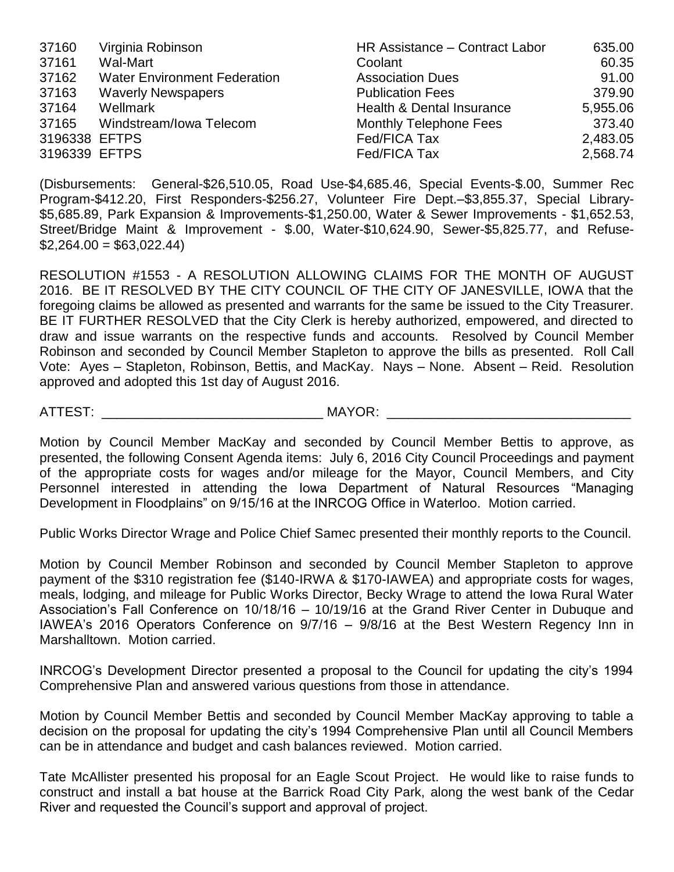| 37160         | Virginia Robinson                   | HR Assistance - Contract Labor | 635.00   |
|---------------|-------------------------------------|--------------------------------|----------|
| 37161         | Wal-Mart                            | Coolant                        | 60.35    |
| 37162         | <b>Water Environment Federation</b> | <b>Association Dues</b>        | 91.00    |
| 37163         | <b>Waverly Newspapers</b>           | <b>Publication Fees</b>        | 379.90   |
| 37164         | Wellmark                            | Health & Dental Insurance      | 5,955.06 |
| 37165         | Windstream/Iowa Telecom             | <b>Monthly Telephone Fees</b>  | 373.40   |
| 3196338 EFTPS |                                     | Fed/FICA Tax                   | 2,483.05 |
| 3196339 EFTPS |                                     | Fed/FICA Tax                   | 2,568.74 |

(Disbursements: General-\$26,510.05, Road Use-\$4,685.46, Special Events-\$.00, Summer Rec Program-\$412.20, First Responders-\$256.27, Volunteer Fire Dept.–\$3,855.37, Special Library- \$5,685.89, Park Expansion & Improvements-\$1,250.00, Water & Sewer Improvements - \$1,652.53, Street/Bridge Maint & Improvement - \$.00, Water-\$10,624.90, Sewer-\$5,825.77, and Refuse-  $$2,264.00 = $63,022.44$ 

RESOLUTION #1553 - A RESOLUTION ALLOWING CLAIMS FOR THE MONTH OF AUGUST 2016. BE IT RESOLVED BY THE CITY COUNCIL OF THE CITY OF JANESVILLE, IOWA that the foregoing claims be allowed as presented and warrants for the same be issued to the City Treasurer. BE IT FURTHER RESOLVED that the City Clerk is hereby authorized, empowered, and directed to draw and issue warrants on the respective funds and accounts. Resolved by Council Member Robinson and seconded by Council Member Stapleton to approve the bills as presented. Roll Call Vote: Ayes – Stapleton, Robinson, Bettis, and MacKay. Nays – None. Absent – Reid. Resolution approved and adopted this 1st day of August 2016.

ATTEST: \_\_\_\_\_\_\_\_\_\_\_\_\_\_\_\_\_\_\_\_\_\_\_\_\_\_\_\_\_\_ MAYOR: \_\_\_\_\_\_\_\_\_\_\_\_\_\_\_\_\_\_\_\_\_\_\_\_\_\_\_\_\_\_\_\_\_

Motion by Council Member MacKay and seconded by Council Member Bettis to approve, as presented, the following Consent Agenda items: July 6, 2016 City Council Proceedings and payment of the appropriate costs for wages and/or mileage for the Mayor, Council Members, and City Personnel interested in attending the Iowa Department of Natural Resources "Managing Development in Floodplains" on 9/15/16 at the INRCOG Office in Waterloo. Motion carried.

Public Works Director Wrage and Police Chief Samec presented their monthly reports to the Council.

Motion by Council Member Robinson and seconded by Council Member Stapleton to approve payment of the \$310 registration fee (\$140-IRWA & \$170-IAWEA) and appropriate costs for wages, meals, lodging, and mileage for Public Works Director, Becky Wrage to attend the Iowa Rural Water Association's Fall Conference on 10/18/16 – 10/19/16 at the Grand River Center in Dubuque and IAWEA's 2016 Operators Conference on 9/7/16 – 9/8/16 at the Best Western Regency Inn in Marshalltown. Motion carried.

INRCOG's Development Director presented a proposal to the Council for updating the city's 1994 Comprehensive Plan and answered various questions from those in attendance.

Motion by Council Member Bettis and seconded by Council Member MacKay approving to table a decision on the proposal for updating the city's 1994 Comprehensive Plan until all Council Members can be in attendance and budget and cash balances reviewed. Motion carried.

Tate McAllister presented his proposal for an Eagle Scout Project. He would like to raise funds to construct and install a bat house at the Barrick Road City Park, along the west bank of the Cedar River and requested the Council's support and approval of project.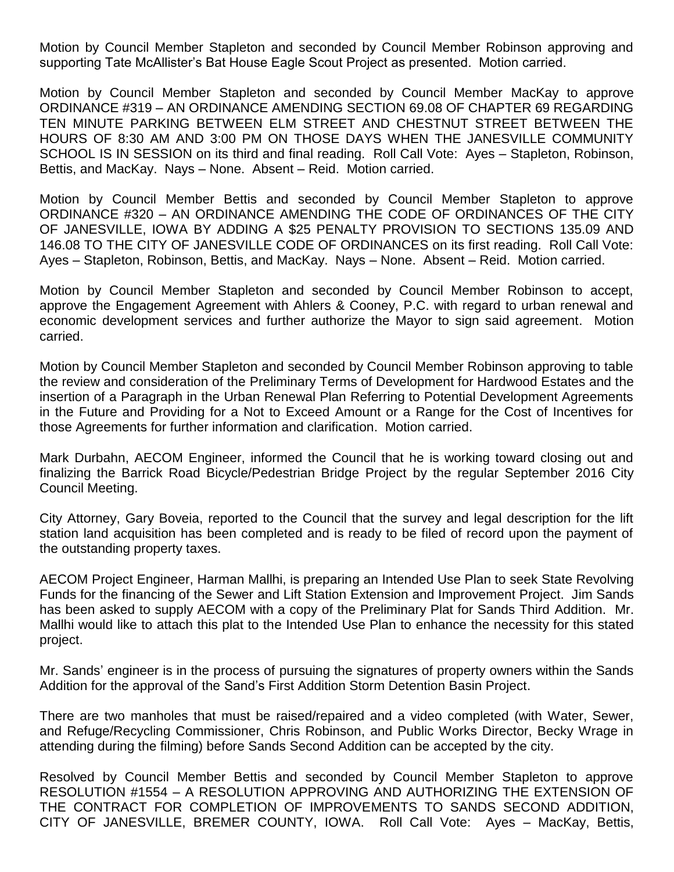Motion by Council Member Stapleton and seconded by Council Member Robinson approving and supporting Tate McAllister's Bat House Eagle Scout Project as presented. Motion carried.

Motion by Council Member Stapleton and seconded by Council Member MacKay to approve ORDINANCE #319 – AN ORDINANCE AMENDING SECTION 69.08 OF CHAPTER 69 REGARDING TEN MINUTE PARKING BETWEEN ELM STREET AND CHESTNUT STREET BETWEEN THE HOURS OF 8:30 AM AND 3:00 PM ON THOSE DAYS WHEN THE JANESVILLE COMMUNITY SCHOOL IS IN SESSION on its third and final reading. Roll Call Vote: Ayes – Stapleton, Robinson, Bettis, and MacKay. Nays – None. Absent – Reid. Motion carried.

Motion by Council Member Bettis and seconded by Council Member Stapleton to approve ORDINANCE #320 – AN ORDINANCE AMENDING THE CODE OF ORDINANCES OF THE CITY OF JANESVILLE, IOWA BY ADDING A \$25 PENALTY PROVISION TO SECTIONS 135.09 AND 146.08 TO THE CITY OF JANESVILLE CODE OF ORDINANCES on its first reading. Roll Call Vote: Ayes – Stapleton, Robinson, Bettis, and MacKay. Nays – None. Absent – Reid. Motion carried.

Motion by Council Member Stapleton and seconded by Council Member Robinson to accept, approve the Engagement Agreement with Ahlers & Cooney, P.C. with regard to urban renewal and economic development services and further authorize the Mayor to sign said agreement. Motion carried.

Motion by Council Member Stapleton and seconded by Council Member Robinson approving to table the review and consideration of the Preliminary Terms of Development for Hardwood Estates and the insertion of a Paragraph in the Urban Renewal Plan Referring to Potential Development Agreements in the Future and Providing for a Not to Exceed Amount or a Range for the Cost of Incentives for those Agreements for further information and clarification. Motion carried.

Mark Durbahn, AECOM Engineer, informed the Council that he is working toward closing out and finalizing the Barrick Road Bicycle/Pedestrian Bridge Project by the regular September 2016 City Council Meeting.

City Attorney, Gary Boveia, reported to the Council that the survey and legal description for the lift station land acquisition has been completed and is ready to be filed of record upon the payment of the outstanding property taxes.

AECOM Project Engineer, Harman Mallhi, is preparing an Intended Use Plan to seek State Revolving Funds for the financing of the Sewer and Lift Station Extension and Improvement Project. Jim Sands has been asked to supply AECOM with a copy of the Preliminary Plat for Sands Third Addition. Mr. Mallhi would like to attach this plat to the Intended Use Plan to enhance the necessity for this stated project.

Mr. Sands' engineer is in the process of pursuing the signatures of property owners within the Sands Addition for the approval of the Sand's First Addition Storm Detention Basin Project.

There are two manholes that must be raised/repaired and a video completed (with Water, Sewer, and Refuge/Recycling Commissioner, Chris Robinson, and Public Works Director, Becky Wrage in attending during the filming) before Sands Second Addition can be accepted by the city.

Resolved by Council Member Bettis and seconded by Council Member Stapleton to approve RESOLUTION #1554 – A RESOLUTION APPROVING AND AUTHORIZING THE EXTENSION OF THE CONTRACT FOR COMPLETION OF IMPROVEMENTS TO SANDS SECOND ADDITION, CITY OF JANESVILLE, BREMER COUNTY, IOWA. Roll Call Vote: Ayes – MacKay, Bettis,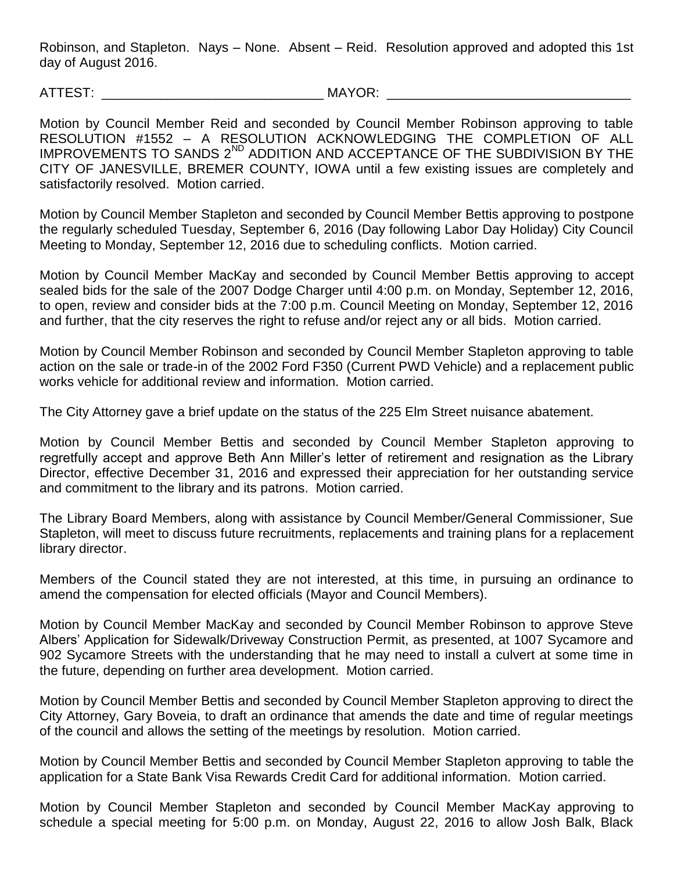Robinson, and Stapleton. Nays – None. Absent – Reid. Resolution approved and adopted this 1st day of August 2016.

ATTEST: THE MAYOR: THE MAYOR:

Motion by Council Member Reid and seconded by Council Member Robinson approving to table RESOLUTION #1552 – A RESOLUTION ACKNOWLEDGING THE COMPLETION OF ALL IMPROVEMENTS TO SANDS 2<sup>ND</sup> ADDITION AND ACCEPTANCE OF THE SUBDIVISION BY THE CITY OF JANESVILLE, BREMER COUNTY, IOWA until a few existing issues are completely and satisfactorily resolved. Motion carried.

Motion by Council Member Stapleton and seconded by Council Member Bettis approving to postpone the regularly scheduled Tuesday, September 6, 2016 (Day following Labor Day Holiday) City Council Meeting to Monday, September 12, 2016 due to scheduling conflicts. Motion carried.

Motion by Council Member MacKay and seconded by Council Member Bettis approving to accept sealed bids for the sale of the 2007 Dodge Charger until 4:00 p.m. on Monday, September 12, 2016, to open, review and consider bids at the 7:00 p.m. Council Meeting on Monday, September 12, 2016 and further, that the city reserves the right to refuse and/or reject any or all bids. Motion carried.

Motion by Council Member Robinson and seconded by Council Member Stapleton approving to table action on the sale or trade-in of the 2002 Ford F350 (Current PWD Vehicle) and a replacement public works vehicle for additional review and information. Motion carried.

The City Attorney gave a brief update on the status of the 225 Elm Street nuisance abatement.

Motion by Council Member Bettis and seconded by Council Member Stapleton approving to regretfully accept and approve Beth Ann Miller's letter of retirement and resignation as the Library Director, effective December 31, 2016 and expressed their appreciation for her outstanding service and commitment to the library and its patrons. Motion carried.

The Library Board Members, along with assistance by Council Member/General Commissioner, Sue Stapleton, will meet to discuss future recruitments, replacements and training plans for a replacement library director.

Members of the Council stated they are not interested, at this time, in pursuing an ordinance to amend the compensation for elected officials (Mayor and Council Members).

Motion by Council Member MacKay and seconded by Council Member Robinson to approve Steve Albers' Application for Sidewalk/Driveway Construction Permit, as presented, at 1007 Sycamore and 902 Sycamore Streets with the understanding that he may need to install a culvert at some time in the future, depending on further area development. Motion carried.

Motion by Council Member Bettis and seconded by Council Member Stapleton approving to direct the City Attorney, Gary Boveia, to draft an ordinance that amends the date and time of regular meetings of the council and allows the setting of the meetings by resolution. Motion carried.

Motion by Council Member Bettis and seconded by Council Member Stapleton approving to table the application for a State Bank Visa Rewards Credit Card for additional information. Motion carried.

Motion by Council Member Stapleton and seconded by Council Member MacKay approving to schedule a special meeting for 5:00 p.m. on Monday, August 22, 2016 to allow Josh Balk, Black